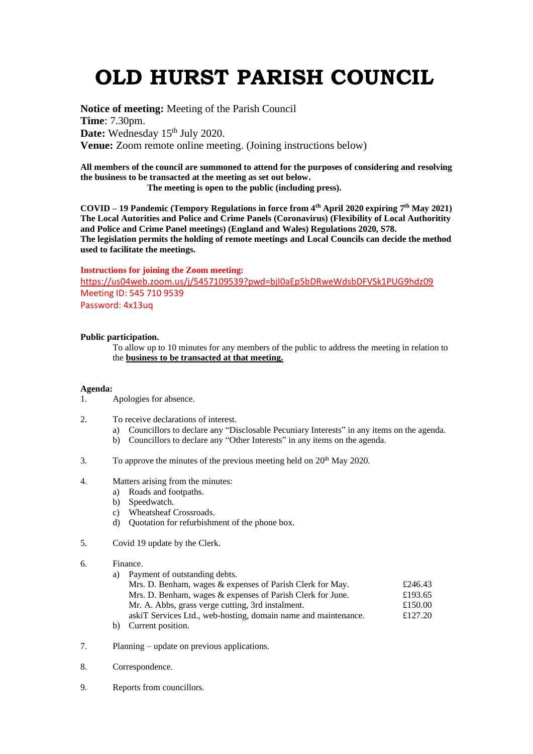# **OLD HURST PARISH COUNCIL**

**Notice of meeting:** Meeting of the Parish Council **Time**: 7.30pm. Date: Wednesday 15<sup>th</sup> July 2020. **Venue:** Zoom remote online meeting. (Joining instructions below)

**All members of the council are summoned to attend for the purposes of considering and resolving the business to be transacted at the meeting as set out below.**

 **The meeting is open to the public (including press).**

**COVID – 19 Pandemic (Tempory Regulations in force from 4th April 2020 expiring 7 th May 2021) The Local Autorities and Police and Crime Panels (Coronavirus) (Flexibility of Local Authoritity and Police and Crime Panel meetings) (England and Wales) Regulations 2020, S78. The legislation permits the holding of remote meetings and Local Councils can decide the method used to facilitate the meetings.** 

#### **Instructions for joining the Zoom meeting:**

<https://us04web.zoom.us/j/5457109539?pwd=bjI0aEp5bDRweWdsbDFVSk1PUG9hdz09> Meeting ID: 545 710 9539 Password: 4x13uq

### **Public participation.**

To allow up to 10 minutes for any members of the public to address the meeting in relation to the **business to be transacted at that meeting.** 

#### **Agenda:**

- 1. Apologies for absence.
- 2. To receive declarations of interest.
	- a) Councillors to declare any "Disclosable Pecuniary Interests" in any items on the agenda.
	- b) Councillors to declare any "Other Interests" in any items on the agenda.
- 3. To approve the minutes of the previous meeting held on  $20<sup>th</sup>$  May 2020.
- 4. Matters arising from the minutes:
	- a) Roads and footpaths.
	- b) Speedwatch.
	- c) Wheatsheaf Crossroads.
	- d) Quotation for refurbishment of the phone box.
- 5. Covid 19 update by the Clerk.
- 6. Finance.
	- a) Payment of outstanding debts.

| Mrs. D. Benham, wages & expenses of Parish Clerk for May.      | £246.43 |
|----------------------------------------------------------------|---------|
| Mrs. D. Benham, wages & expenses of Parish Clerk for June.     | £193.65 |
| Mr. A. Abbs, grass verge cutting, 3rd instalment.              | £150.00 |
| askiT Services Ltd., web-hosting, domain name and maintenance. | £127.20 |
| b) Current position.                                           |         |

- 7. Planning update on previous applications.
- 8. Correspondence.
- 9. Reports from councillors.